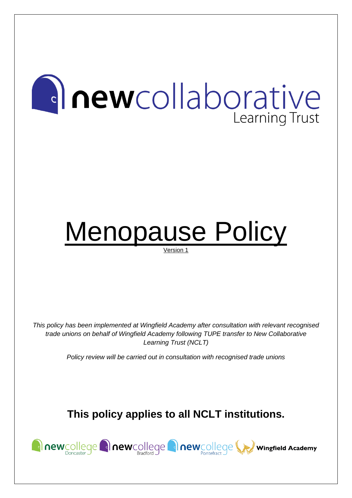# **Anewcollaborative** Learning Trust

## Menopause Policy Version 1

*This policy has been implemented at Wingfield Academy after consultation with relevant recognised trade unions on behalf of Wingfield Academy following TUPE transfer to New Collaborative Learning Trust (NCLT)*

*Policy review will be carried out in consultation with recognised trade unions*

### **This policy applies to all NCLT institutions.**

**Anewcollege Anewcollege Anewcollege We wingfield Academy**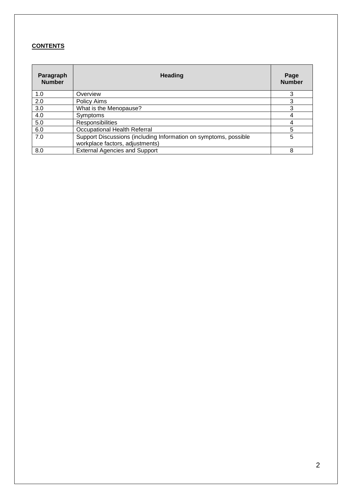#### **CONTENTS**

| Paragraph<br><b>Number</b> | <b>Heading</b>                                                                                      | Page<br><b>Number</b> |
|----------------------------|-----------------------------------------------------------------------------------------------------|-----------------------|
| 1.0                        | Overview                                                                                            | 3                     |
| 2.0                        | Policy Aims                                                                                         | 3                     |
| 3.0                        | What is the Menopause?                                                                              | 3                     |
| 4.0                        | Symptoms                                                                                            |                       |
| 5.0                        | Responsibilities                                                                                    |                       |
| 6.0                        | <b>Occupational Health Referral</b>                                                                 | 5                     |
| 7.0                        | Support Discussions (including Information on symptoms, possible<br>workplace factors, adjustments) | 5                     |
| 8.0                        | <b>External Agencies and Support</b>                                                                | 8                     |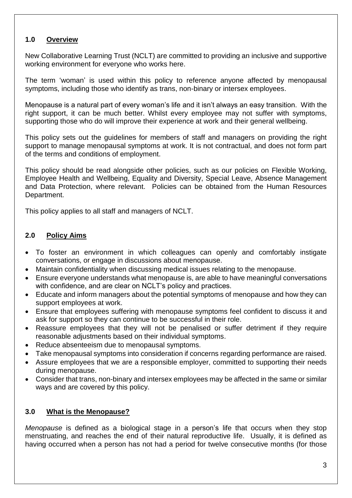#### **1.0 Overview**

New Collaborative Learning Trust (NCLT) are committed to providing an inclusive and supportive working environment for everyone who works here.

The term 'woman' is used within this policy to reference anyone affected by menopausal symptoms, including those who identify as trans, non-binary or intersex employees.

Menopause is a natural part of every woman's life and it isn't always an easy transition. With the right support, it can be much better. Whilst every employee may not suffer with symptoms, supporting those who do will improve their experience at work and their general wellbeing.

This policy sets out the guidelines for members of staff and managers on providing the right support to manage menopausal symptoms at work. It is not contractual, and does not form part of the terms and conditions of employment.

This policy should be read alongside other policies, such as our policies on Flexible Working, Employee Health and Wellbeing, Equality and Diversity, Special Leave, Absence Management and Data Protection, where relevant. Policies can be obtained from the Human Resources Department.

This policy applies to all staff and managers of NCLT.

#### **2.0 Policy Aims**

- To foster an environment in which colleagues can openly and comfortably instigate conversations, or engage in discussions about menopause.
- Maintain confidentiality when discussing medical issues relating to the menopause.
- Ensure everyone understands what menopause is, are able to have meaningful conversations with confidence, and are clear on NCLT's policy and practices.
- Educate and inform managers about the potential symptoms of menopause and how they can support employees at work.
- Ensure that employees suffering with menopause symptoms feel confident to discuss it and ask for support so they can continue to be successful in their role.
- Reassure employees that they will not be penalised or suffer detriment if they require reasonable adjustments based on their individual symptoms.
- Reduce absenteeism due to menopausal symptoms.
- Take menopausal symptoms into consideration if concerns regarding performance are raised.
- Assure employees that we are a responsible employer, committed to supporting their needs during menopause.
- Consider that trans, non-binary and intersex employees may be affected in the same or similar ways and are covered by this policy.

#### **3.0 What is the Menopause?**

*Menopause* is defined as a biological stage in a person's life that occurs when they stop menstruating, and reaches the end of their natural reproductive life. Usually, it is defined as having occurred when a person has not had a period for twelve consecutive months (for those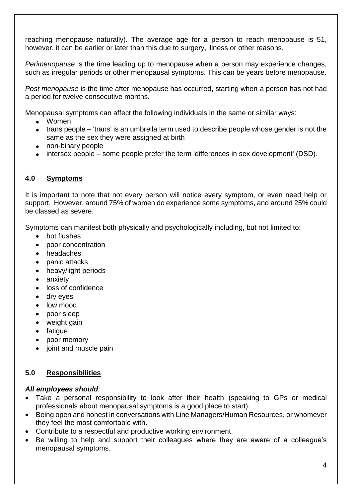reaching menopause naturally). The average age for a person to reach menopause is 51, however, it can be earlier or later than this due to surgery, illness or other reasons.

*Perimenopause* is the time leading up to menopause when a person may experience changes, such as irregular periods or other menopausal symptoms. This can be years before menopause.

*Post menopause* is the time after menopause has occurred, starting when a person has not had a period for twelve consecutive months.

Menopausal symptoms can affect the following individuals in the same or similar ways:

- Women
- trans people 'trans' is an umbrella term used to describe people whose gender is not the same as the sex they were assigned at birth
- non-binary people
- intersex people some people prefer the term 'differences in sex development' (DSD).

#### **4.0 Symptoms**

It is important to note that not every person will notice every symptom, or even need help or support. However, around 75% of women do experience some symptoms, and around 25% could be classed as severe.

Symptoms can manifest both physically and psychologically including, but not limited to:

- hot flushes
- poor concentration
- headaches
- panic attacks
- heavy/light periods
- anxiety
- loss of confidence
- dry eyes
- low mood
- poor sleep
- weight gain
- fatigue
- poor memory
- joint and muscle pain

#### **5.0 Responsibilities**

#### *All employees should:*

- Take a personal responsibility to look after their health (speaking to GPs or medical professionals about menopausal symptoms is a good place to start).
- Being open and honest in conversations with Line Managers/Human Resources, or whomever they feel the most comfortable with.
- Contribute to a respectful and productive working environment.
- Be willing to help and support their colleagues where they are aware of a colleague's menopausal symptoms.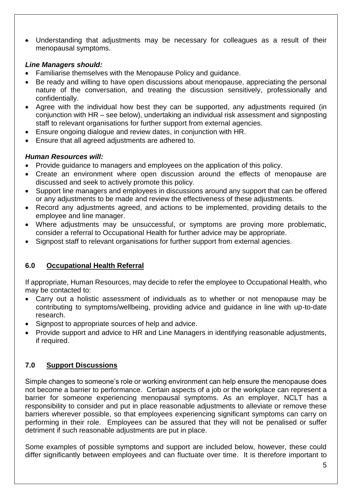• Understanding that adjustments may be necessary for colleagues as a result of their menopausal symptoms.

#### *Line Managers should:*

- Familiarise themselves with the Menopause Policy and guidance.
- Be ready and willing to have open discussions about menopause, appreciating the personal nature of the conversation, and treating the discussion sensitively, professionally and confidentially.
- Agree with the individual how best they can be supported, any adjustments required (in conjunction with HR – see below), undertaking an individual risk assessment and signposting staff to relevant organisations for further support from external agencies.
- Ensure ongoing dialogue and review dates, in conjunction with HR.
- Ensure that all agreed adjustments are adhered to.

#### *Human Resources will:*

- Provide guidance to managers and employees on the application of this policy.
- Create an environment where open discussion around the effects of menopause are discussed and seek to actively promote this policy.
- Support line managers and employees in discussions around any support that can be offered or any adjustments to be made and review the effectiveness of these adjustments.
- Record any adjustments agreed, and actions to be implemented, providing details to the employee and line manager.
- Where adjustments may be unsuccessful, or symptoms are proving more problematic, consider a referral to Occupational Health for further advice may be appropriate.
- Signpost staff to relevant organisations for further support from external agencies.

#### **6.0 Occupational Health Referral**

If appropriate, Human Resources, may decide to refer the employee to Occupational Health, who may be contacted to:

- Carry out a holistic assessment of individuals as to whether or not menopause may be contributing to symptoms/wellbeing, providing advice and guidance in line with up-to-date research.
- Signpost to appropriate sources of help and advice.
- Provide support and advice to HR and Line Managers in identifying reasonable adjustments, if required.

#### **7.0 Support Discussions**

Simple changes to someone's role or working environment can help ensure the menopause does not become a barrier to performance. Certain aspects of a job or the workplace can represent a barrier for someone experiencing menopausal symptoms. As an employer, NCLT has a responsibility to consider and put in place reasonable adjustments to alleviate or remove these barriers wherever possible, so that employees experiencing significant symptoms can carry on performing in their role. Employees can be assured that they will not be penalised or suffer detriment if such reasonable adjustments are put in place.

Some examples of possible symptoms and support are included below, however, these could differ significantly between employees and can fluctuate over time. It is therefore important to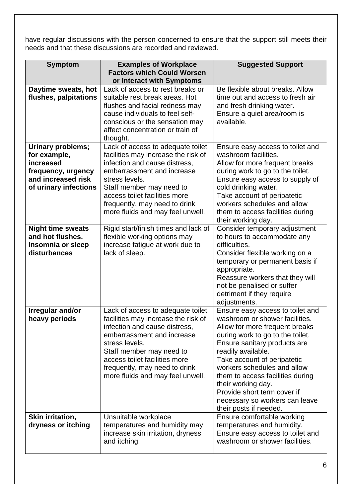have regular discussions with the person concerned to ensure that the support still meets their needs and that these discussions are recorded and reviewed.

| <b>Symptom</b>                              | <b>Examples of Workplace</b>                                      | <b>Suggested Support</b>                                      |
|---------------------------------------------|-------------------------------------------------------------------|---------------------------------------------------------------|
|                                             | <b>Factors which Could Worsen</b>                                 |                                                               |
|                                             | or Interact with Symptoms                                         |                                                               |
| Daytime sweats, hot                         | Lack of access to rest breaks or                                  | Be flexible about breaks, Allow                               |
| flushes, palpitations                       | suitable rest break areas. Hot                                    | time out and access to fresh air                              |
|                                             | flushes and facial redness may<br>cause individuals to feel self- | and fresh drinking water.                                     |
|                                             | conscious or the sensation may                                    | Ensure a quiet area/room is<br>available.                     |
|                                             | affect concentration or train of                                  |                                                               |
|                                             | thought.                                                          |                                                               |
| Urinary problems;                           | Lack of access to adequate toilet                                 | Ensure easy access to toilet and                              |
| for example,                                | facilities may increase the risk of                               | washroom facilities.                                          |
| increased                                   | infection and cause distress,                                     | Allow for more frequent breaks                                |
| frequency, urgency                          | embarrassment and increase                                        | during work to go to the toilet.                              |
| and increased risk<br>of urinary infections | stress levels.<br>Staff member may need to                        | Ensure easy access to supply of<br>cold drinking water.       |
|                                             | access toilet facilities more                                     | Take account of peripatetic                                   |
|                                             | frequently, may need to drink                                     | workers schedules and allow                                   |
|                                             | more fluids and may feel unwell.                                  | them to access facilities during                              |
|                                             |                                                                   | their working day.                                            |
| <b>Night time sweats</b>                    | Rigid start/finish times and lack of                              | Consider temporary adjustment                                 |
| and hot flushes.                            | flexible working options may                                      | to hours to accommodate any                                   |
| Insomnia or sleep                           | increase fatigue at work due to                                   | difficulties.                                                 |
| disturbances                                | lack of sleep.                                                    | Consider flexible working on a                                |
|                                             |                                                                   | temporary or permanent basis if                               |
|                                             |                                                                   | appropriate.                                                  |
|                                             |                                                                   | Reassure workers that they will<br>not be penalised or suffer |
|                                             |                                                                   | detriment if they require                                     |
|                                             |                                                                   | adjustments.                                                  |
| Irregular and/or                            | Lack of access to adequate toilet                                 | Ensure easy access to toilet and                              |
| heavy periods                               | facilities may increase the risk of                               | washroom or shower facilities.                                |
|                                             | infection and cause distress,                                     | Allow for more frequent breaks                                |
|                                             | embarrassment and increase                                        | during work to go to the toilet.                              |
|                                             | stress levels.                                                    | Ensure sanitary products are                                  |
|                                             | Staff member may need to                                          | readily available.                                            |
|                                             | access toilet facilities more                                     | Take account of peripatetic                                   |
|                                             | frequently, may need to drink                                     | workers schedules and allow                                   |
|                                             | more fluids and may feel unwell.                                  | them to access facilities during                              |
|                                             |                                                                   | their working day.<br>Provide short term cover if             |
|                                             |                                                                   | necessary so workers can leave                                |
|                                             |                                                                   | their posts if needed.                                        |
| Skin irritation,                            | Unsuitable workplace                                              | Ensure comfortable working                                    |
| dryness or itching                          | temperatures and humidity may                                     | temperatures and humidity.                                    |
|                                             | increase skin irritation, dryness                                 | Ensure easy access to toilet and                              |
|                                             | and itching.                                                      | washroom or shower facilities.                                |
|                                             |                                                                   |                                                               |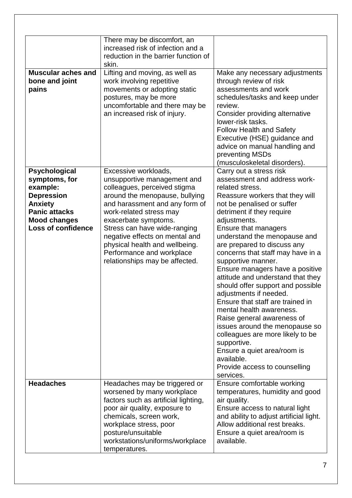|                                                                                                                                                                      | There may be discomfort, an<br>increased risk of infection and a<br>reduction in the barrier function of<br>skin.                                                                                                                                                                                                                                                             |                                                                                                                                                                                                                                                                                                                                                                                                                                                                                                                                                                                                                                                                                                                                                                 |
|----------------------------------------------------------------------------------------------------------------------------------------------------------------------|-------------------------------------------------------------------------------------------------------------------------------------------------------------------------------------------------------------------------------------------------------------------------------------------------------------------------------------------------------------------------------|-----------------------------------------------------------------------------------------------------------------------------------------------------------------------------------------------------------------------------------------------------------------------------------------------------------------------------------------------------------------------------------------------------------------------------------------------------------------------------------------------------------------------------------------------------------------------------------------------------------------------------------------------------------------------------------------------------------------------------------------------------------------|
| <b>Muscular aches and</b><br>bone and joint<br>pains                                                                                                                 | Lifting and moving, as well as<br>work involving repetitive<br>movements or adopting static<br>postures, may be more<br>uncomfortable and there may be<br>an increased risk of injury.                                                                                                                                                                                        | Make any necessary adjustments<br>through review of risk<br>assessments and work<br>schedules/tasks and keep under<br>review.<br>Consider providing alternative<br>lower-risk tasks.<br><b>Follow Health and Safety</b><br>Executive (HSE) guidance and<br>advice on manual handling and<br>preventing MSDs<br>(musculoskeletal disorders).                                                                                                                                                                                                                                                                                                                                                                                                                     |
| <b>Psychological</b><br>symptoms, for<br>example:<br><b>Depression</b><br><b>Anxiety</b><br><b>Panic attacks</b><br><b>Mood changes</b><br><b>Loss of confidence</b> | Excessive workloads,<br>unsupportive management and<br>colleagues, perceived stigma<br>around the menopause, bullying<br>and harassment and any form of<br>work-related stress may<br>exacerbate symptoms.<br>Stress can have wide-ranging<br>negative effects on mental and<br>physical health and wellbeing.<br>Performance and workplace<br>relationships may be affected. | Carry out a stress risk<br>assessment and address work-<br>related stress.<br>Reassure workers that they will<br>not be penalised or suffer<br>detriment if they require<br>adjustments.<br>Ensure that managers<br>understand the menopause and<br>are prepared to discuss any<br>concerns that staff may have in a<br>supportive manner.<br>Ensure managers have a positive<br>attitude and understand that they<br>should offer support and possible<br>adjustments if needed.<br>Ensure that staff are trained in<br>mental health awareness.<br>Raise general awareness of<br>issues around the menopause so<br>colleagues are more likely to be<br>supportive.<br>Ensure a quiet area/room is<br>available.<br>Provide access to counselling<br>services. |
| <b>Headaches</b>                                                                                                                                                     | Headaches may be triggered or<br>worsened by many workplace<br>factors such as artificial lighting,<br>poor air quality, exposure to<br>chemicals, screen work,<br>workplace stress, poor<br>posture/unsuitable<br>workstations/uniforms/workplace<br>temperatures.                                                                                                           | Ensure comfortable working<br>temperatures, humidity and good<br>air quality.<br>Ensure access to natural light<br>and ability to adjust artificial light.<br>Allow additional rest breaks.<br>Ensure a quiet area/room is<br>available.                                                                                                                                                                                                                                                                                                                                                                                                                                                                                                                        |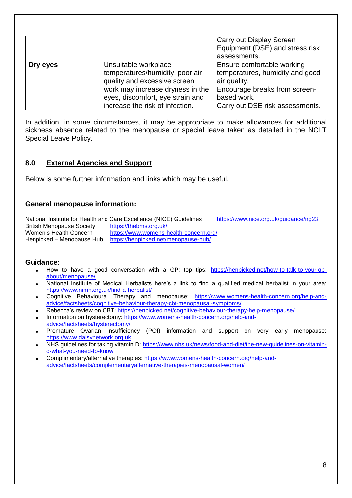|          |                                  | Carry out Display Screen        |  |  |
|----------|----------------------------------|---------------------------------|--|--|
|          |                                  | Equipment (DSE) and stress risk |  |  |
|          |                                  | assessments.                    |  |  |
| Dry eyes | Unsuitable workplace             | Ensure comfortable working      |  |  |
|          | temperatures/humidity, poor air  | temperatures, humidity and good |  |  |
|          | quality and excessive screen     | air quality.                    |  |  |
|          | work may increase dryness in the | Encourage breaks from screen-   |  |  |
|          | eyes, discomfort, eye strain and | based work.                     |  |  |
|          | increase the risk of infection.  | Carry out DSE risk assessments. |  |  |

In addition, in some circumstances, it may be appropriate to make allowances for additional sickness absence related to the menopause or special leave taken as detailed in the NCLT Special Leave Policy.

#### **8.0 External Agencies and Support**

Below is some further information and links which may be useful.

#### **General menopause information:**

National Institute for Health and Care Excellence (NICE) Guidelines <https://www.nice.org.uk/guidance/ng23> British Menopause Society <https://thebms.org.uk/> Women's Health Concern <https://www.womens-health-concern.org/> Henpicked – Menopause Hub <https://henpicked.net/menopause-hub/>

#### **Guidance:**

- How to have a good conversation with a GP: top tips: [https://henpicked.net/how-to-talk-to-your-gp](https://henpicked.net/how-to-talk-to-your-gp-about/menopause/)[about/menopause/](https://henpicked.net/how-to-talk-to-your-gp-about/menopause/)
- National Institute of Medical Herbalists here's a link to find a qualified medical herbalist in your area: <https://www.nimh.org.uk/find-a-herbalist/>
- Cognitive Behavioural Therapy and menopause: [https://www.womens-health-concern.org/help-and](https://www.womens-health-concern.org/help-and-advice/factsheets/cognitive-behaviour-therapy-cbt-menopausal-symptoms/)[advice/factsheets/cognitive-behaviour-therapy-cbt-menopausal-symptoms/](https://www.womens-health-concern.org/help-and-advice/factsheets/cognitive-behaviour-therapy-cbt-menopausal-symptoms/)
- Rebecca's review on CBT:<https://henpicked.net/cognitive-behaviour-therapy-help-menopause/>
- Information on hysterectomy: [https://www.womens-health-concern.org/help-and-](https://www.womens-health-concern.org/help-and-advice/factsheets/hysterectomy/)
- [advice/factsheets/hysterectomy/](https://www.womens-health-concern.org/help-and-advice/factsheets/hysterectomy/)
- Premature Ovarian Insufficiency (POI) information and support on very early menopause: [https://www.daisynetwork.org.uk](https://www.daisynetwork.org.uk/)
- NHS guidelines for taking vitamin D: [https://www.nhs.uk/news/food-and-diet/the-new-guidelines-on-vitamin](https://www.nhs.uk/news/food-and-diet/the-new-guidelines-on-vitamin-d-what-you-need-to-know)[d-what-you-need-to-know](https://www.nhs.uk/news/food-and-diet/the-new-guidelines-on-vitamin-d-what-you-need-to-know)
- Complimentary/alternative therapies: [https://www.womens-health-concern.org/help-and](https://www.womens-health-concern.org/help-and-advice/factsheets/complementaryalternative-therapies-menopausal-women/)[advice/factsheets/complementaryalternative-therapies-menopausal-women/](https://www.womens-health-concern.org/help-and-advice/factsheets/complementaryalternative-therapies-menopausal-women/)